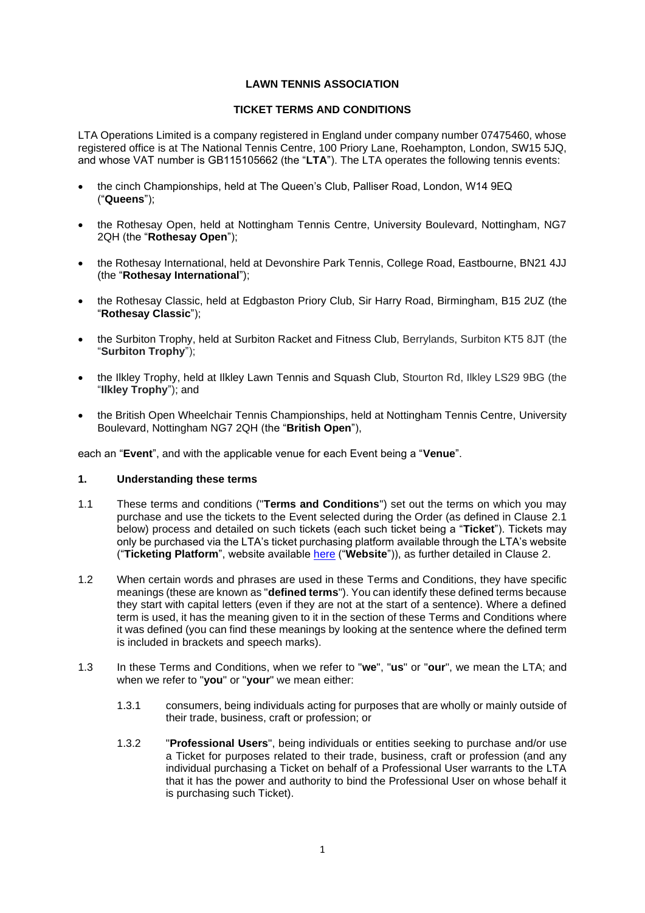## **LAWN TENNIS ASSOCIATION**

## **TICKET TERMS AND CONDITIONS**

LTA Operations Limited is a company registered in England under company number 07475460, whose registered office is at The National Tennis Centre, 100 Priory Lane, Roehampton, London, SW15 5JQ, and whose VAT number is GB115105662 (the "**LTA**"). The LTA operates the following tennis events:

- the cinch Championships, held at The Queen's Club, Palliser Road, London, W14 9EQ ("**Queens**");
- the Rothesay Open, held at Nottingham Tennis Centre, University Boulevard, Nottingham, NG7 2QH (the "**Rothesay Open**");
- the Rothesay International, held at Devonshire Park Tennis, College Road, Eastbourne, BN21 4JJ (the "**Rothesay International**");
- the Rothesay Classic, held at Edgbaston Priory Club, Sir Harry Road, Birmingham, B15 2UZ (the "**Rothesay Classic**");
- the Surbiton Trophy, held at Surbiton Racket and Fitness Club, Berrylands, Surbiton KT5 8JT (the "**Surbiton Trophy**");
- the Ilkley Trophy, held at Ilkley Lawn Tennis and Squash Club, Stourton Rd, Ilkley LS29 9BG (the "**Ilkley Trophy**"); and
- the British Open Wheelchair Tennis Championships, held at Nottingham Tennis Centre, University Boulevard, Nottingham NG7 2QH (the "**British Open**"),

each an "**Event**", and with the applicable venue for each Event being a "**Venue**".

### **1. Understanding these terms**

- 1.1 These terms and conditions ("**Terms and Conditions**") set out the terms on which you may purchase and use the tickets to the Event selected during the Order (as defined in Clause [2.1](#page-1-0) below) process and detailed on such tickets (each such ticket being a "**Ticket**"). Tickets may only be purchased via the LTA's ticket purchasing platform available through the LTA's website ("**Ticketing Platform**", website available [here](https://tickets.lta.org.uk/) ("**Website**")), as further detailed in Clause [2.](#page-1-1)
- 1.2 When certain words and phrases are used in these Terms and Conditions, they have specific meanings (these are known as "**defined terms**"). You can identify these defined terms because they start with capital letters (even if they are not at the start of a sentence). Where a defined term is used, it has the meaning given to it in the section of these Terms and Conditions where it was defined (you can find these meanings by looking at the sentence where the defined term is included in brackets and speech marks).
- 1.3 In these Terms and Conditions, when we refer to "**we**", "**us**" or "**our**", we mean the LTA; and when we refer to "**you**" or "**your**" we mean either:
	- 1.3.1 consumers, being individuals acting for purposes that are wholly or mainly outside of their trade, business, craft or profession; or
	- 1.3.2 "**Professional Users**", being individuals or entities seeking to purchase and/or use a Ticket for purposes related to their trade, business, craft or profession (and any individual purchasing a Ticket on behalf of a Professional User warrants to the LTA that it has the power and authority to bind the Professional User on whose behalf it is purchasing such Ticket).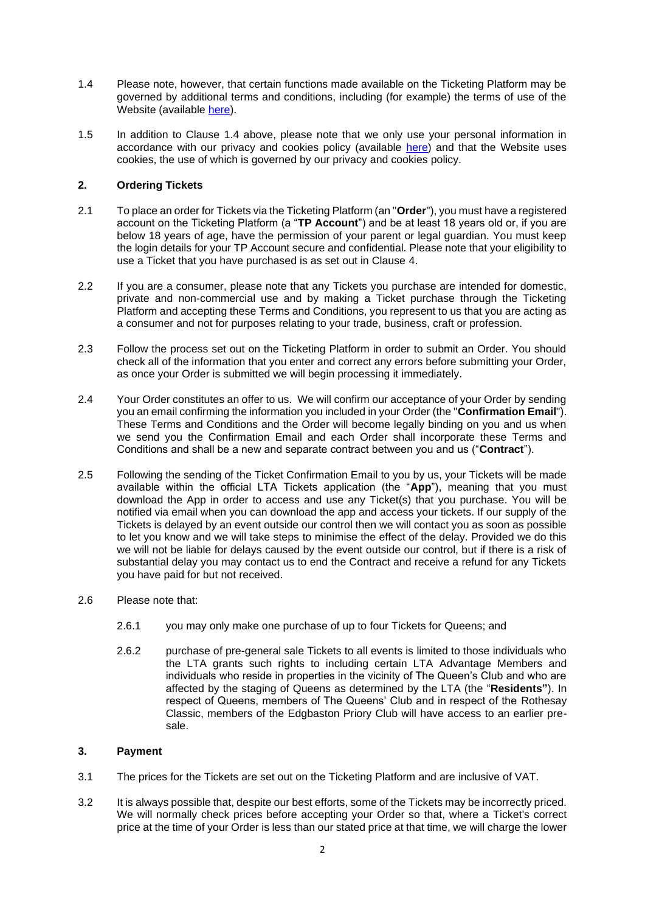- <span id="page-1-2"></span>1.4 Please note, however, that certain functions made available on the Ticketing Platform may be governed by additional terms and conditions, including (for example) the terms of use of the Website (available [here\)](https://www.lta.org.uk/about-us/what-we-do/governance-and-structure/policies-and-rules/lta-website-terms--conditions/).
- 1.5 In addition to Clause [1.4](#page-1-2) above, please note that we only use your personal information in accordance with our privacy and cookies policy (available [here\)](https://www.lta.org.uk/about-us/what-we-do/governance-and-structure/policies-and-rules/privacy-policy/) and that the Website uses cookies, the use of which is governed by our privacy and cookies policy.

## <span id="page-1-1"></span>**2. Ordering Tickets**

- <span id="page-1-0"></span>2.1 To place an order for Tickets via the Ticketing Platform (an "**Order**"), you must have a registered account on the Ticketing Platform (a "**TP Account**") and be at least 18 years old or, if you are below 18 years of age, have the permission of your parent or legal guardian. You must keep the login details for your TP Account secure and confidential. Please note that your eligibility to use a Ticket that you have purchased is as set out in Clause [4.](#page-2-0)
- 2.2 If you are a consumer, please note that any Tickets you purchase are intended for domestic, private and non-commercial use and by making a Ticket purchase through the Ticketing Platform and accepting these Terms and Conditions, you represent to us that you are acting as a consumer and not for purposes relating to your trade, business, craft or profession.
- 2.3 Follow the process set out on the Ticketing Platform in order to submit an Order. You should check all of the information that you enter and correct any errors before submitting your Order, as once your Order is submitted we will begin processing it immediately.
- 2.4 Your Order constitutes an offer to us. We will confirm our acceptance of your Order by sending you an email confirming the information you included in your Order (the "**Confirmation Email**"). These Terms and Conditions and the Order will become legally binding on you and us when we send you the Confirmation Email and each Order shall incorporate these Terms and Conditions and shall be a new and separate contract between you and us ("**Contract**").
- 2.5 Following the sending of the Ticket Confirmation Email to you by us, your Tickets will be made available within the official LTA Tickets application (the "**App**"), meaning that you must download the App in order to access and use any Ticket(s) that you purchase. You will be notified via email when you can download the app and access your tickets. If our supply of the Tickets is delayed by an event outside our control then we will contact you as soon as possible to let you know and we will take steps to minimise the effect of the delay. Provided we do this we will not be liable for delays caused by the event outside our control, but if there is a risk of substantial delay you may contact us to end the Contract and receive a refund for any Tickets you have paid for but not received.
- 2.6 Please note that:
	- 2.6.1 you may only make one purchase of up to four Tickets for Queens; and
	- 2.6.2 purchase of pre-general sale Tickets to all events is limited to those individuals who the LTA grants such rights to including certain LTA Advantage Members and individuals who reside in properties in the vicinity of The Queen's Club and who are affected by the staging of Queens as determined by the LTA (the "**Residents"**). In respect of Queens, members of The Queens' Club and in respect of the Rothesay Classic, members of the Edgbaston Priory Club will have access to an earlier presale.

### **3. Payment**

- 3.1 The prices for the Tickets are set out on the Ticketing Platform and are inclusive of VAT.
- 3.2 It is always possible that, despite our best efforts, some of the Tickets may be incorrectly priced. We will normally check prices before accepting your Order so that, where a Ticket's correct price at the time of your Order is less than our stated price at that time, we will charge the lower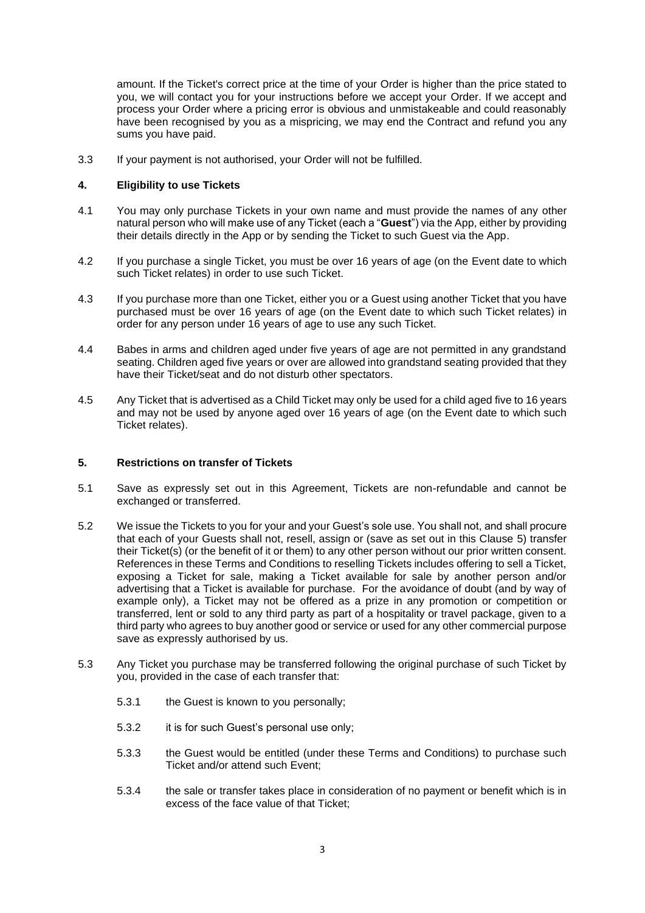amount. If the Ticket's correct price at the time of your Order is higher than the price stated to you, we will contact you for your instructions before we accept your Order. If we accept and process your Order where a pricing error is obvious and unmistakeable and could reasonably have been recognised by you as a mispricing, we may end the Contract and refund you any sums you have paid.

3.3 If your payment is not authorised, your Order will not be fulfilled.

## <span id="page-2-0"></span>**4. Eligibility to use Tickets**

- 4.1 You may only purchase Tickets in your own name and must provide the names of any other natural person who will make use of any Ticket (each a "**Guest**") via the App, either by providing their details directly in the App or by sending the Ticket to such Guest via the App.
- 4.2 If you purchase a single Ticket, you must be over 16 years of age (on the Event date to which such Ticket relates) in order to use such Ticket.
- 4.3 If you purchase more than one Ticket, either you or a Guest using another Ticket that you have purchased must be over 16 years of age (on the Event date to which such Ticket relates) in order for any person under 16 years of age to use any such Ticket.
- 4.4 Babes in arms and children aged under five years of age are not permitted in any grandstand seating. Children aged five years or over are allowed into grandstand seating provided that they have their Ticket/seat and do not disturb other spectators.
- 4.5 Any Ticket that is advertised as a Child Ticket may only be used for a child aged five to 16 years and may not be used by anyone aged over 16 years of age (on the Event date to which such Ticket relates).

## <span id="page-2-1"></span>**5. Restrictions on transfer of Tickets**

- 5.1 Save as expressly set out in this Agreement, Tickets are non-refundable and cannot be exchanged or transferred.
- 5.2 We issue the Tickets to you for your and your Guest's sole use. You shall not, and shall procure that each of your Guests shall not, resell, assign or (save as set out in this Clause [5\)](#page-2-1) transfer their Ticket(s) (or the benefit of it or them) to any other person without our prior written consent. References in these Terms and Conditions to reselling Tickets includes offering to sell a Ticket, exposing a Ticket for sale, making a Ticket available for sale by another person and/or advertising that a Ticket is available for purchase. For the avoidance of doubt (and by way of example only), a Ticket may not be offered as a prize in any promotion or competition or transferred, lent or sold to any third party as part of a hospitality or travel package, given to a third party who agrees to buy another good or service or used for any other commercial purpose save as expressly authorised by us.
- 5.3 Any Ticket you purchase may be transferred following the original purchase of such Ticket by you, provided in the case of each transfer that:
	- 5.3.1 the Guest is known to you personally;
	- 5.3.2 it is for such Guest's personal use only;
	- 5.3.3 the Guest would be entitled (under these Terms and Conditions) to purchase such Ticket and/or attend such Event;
	- 5.3.4 the sale or transfer takes place in consideration of no payment or benefit which is in excess of the face value of that Ticket;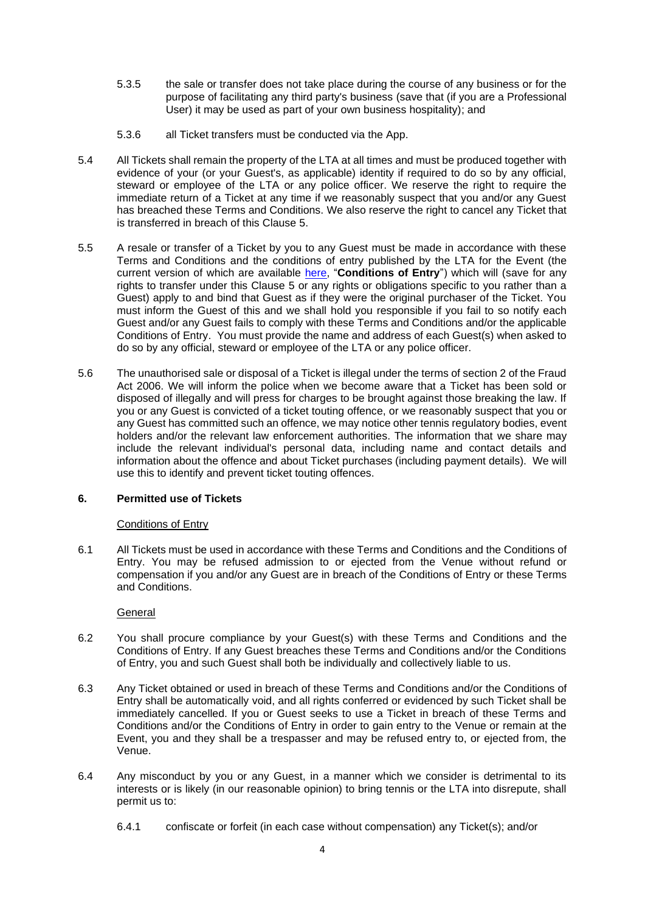- 5.3.5 the sale or transfer does not take place during the course of any business or for the purpose of facilitating any third party's business (save that (if you are a Professional User) it may be used as part of your own business hospitality); and
- 5.3.6 all Ticket transfers must be conducted via the App.
- 5.4 All Tickets shall remain the property of the LTA at all times and must be produced together with evidence of your (or your Guest's, as applicable) identity if required to do so by any official, steward or employee of the LTA or any police officer. We reserve the right to require the immediate return of a Ticket at any time if we reasonably suspect that you and/or any Guest has breached these Terms and Conditions. We also reserve the right to cancel any Ticket that is transferred in breach of this Clause [5.](#page-2-1)
- 5.5 A resale or transfer of a Ticket by you to any Guest must be made in accordance with these Terms and Conditions and the conditions of entry published by the LTA for the Event (the current version of which are available [here,](https://www.lta.org.uk/globalassets/major-events/terms-and-conditions/lta-conditions-of-entry-2022.pdf) "**Conditions of Entry**") which will (save for any rights to transfer under this Clause [5](#page-2-1) or any rights or obligations specific to you rather than a Guest) apply to and bind that Guest as if they were the original purchaser of the Ticket. You must inform the Guest of this and we shall hold you responsible if you fail to so notify each Guest and/or any Guest fails to comply with these Terms and Conditions and/or the applicable Conditions of Entry. You must provide the name and address of each Guest(s) when asked to do so by any official, steward or employee of the LTA or any police officer.
- 5.6 The unauthorised sale or disposal of a Ticket is illegal under the terms of section 2 of the Fraud Act 2006. We will inform the police when we become aware that a Ticket has been sold or disposed of illegally and will press for charges to be brought against those breaking the law. If you or any Guest is convicted of a ticket touting offence, or we reasonably suspect that you or any Guest has committed such an offence, we may notice other tennis regulatory bodies, event holders and/or the relevant law enforcement authorities. The information that we share may include the relevant individual's personal data, including name and contact details and information about the offence and about Ticket purchases (including payment details). We will use this to identify and prevent ticket touting offences.

## **6. Permitted use of Tickets**

## Conditions of Entry

6.1 All Tickets must be used in accordance with these Terms and Conditions and the Conditions of Entry. You may be refused admission to or ejected from the Venue without refund or compensation if you and/or any Guest are in breach of the Conditions of Entry or these Terms and Conditions.

**General** 

- 6.2 You shall procure compliance by your Guest(s) with these Terms and Conditions and the Conditions of Entry. If any Guest breaches these Terms and Conditions and/or the Conditions of Entry, you and such Guest shall both be individually and collectively liable to us.
- 6.3 Any Ticket obtained or used in breach of these Terms and Conditions and/or the Conditions of Entry shall be automatically void, and all rights conferred or evidenced by such Ticket shall be immediately cancelled. If you or Guest seeks to use a Ticket in breach of these Terms and Conditions and/or the Conditions of Entry in order to gain entry to the Venue or remain at the Event, you and they shall be a trespasser and may be refused entry to, or ejected from, the Venue.
- 6.4 Any misconduct by you or any Guest, in a manner which we consider is detrimental to its interests or is likely (in our reasonable opinion) to bring tennis or the LTA into disrepute, shall permit us to:
	- 6.4.1 confiscate or forfeit (in each case without compensation) any Ticket(s); and/or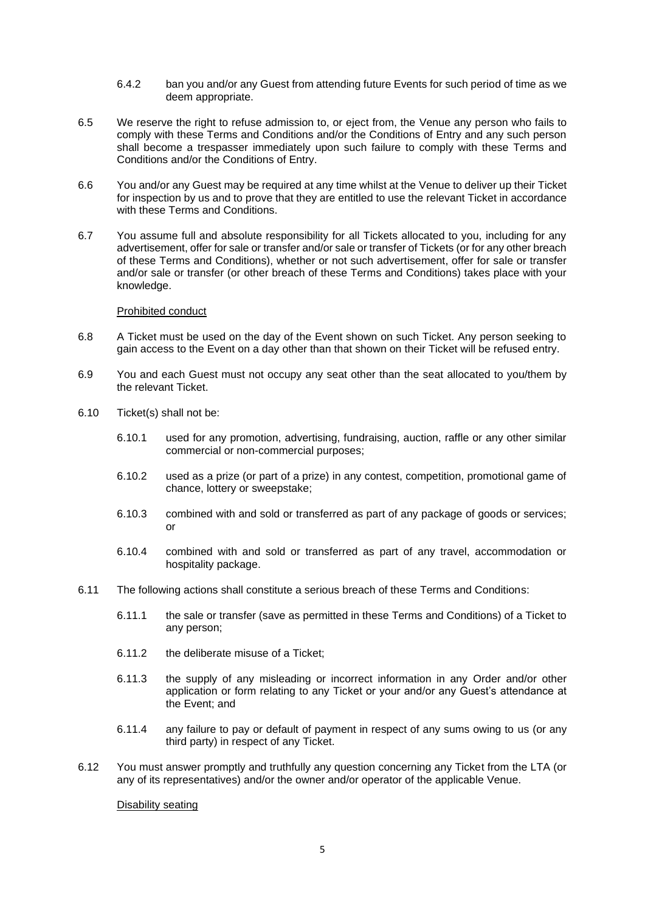- 6.4.2 ban you and/or any Guest from attending future Events for such period of time as we deem appropriate.
- 6.5 We reserve the right to refuse admission to, or eject from, the Venue any person who fails to comply with these Terms and Conditions and/or the Conditions of Entry and any such person shall become a trespasser immediately upon such failure to comply with these Terms and Conditions and/or the Conditions of Entry.
- 6.6 You and/or any Guest may be required at any time whilst at the Venue to deliver up their Ticket for inspection by us and to prove that they are entitled to use the relevant Ticket in accordance with these Terms and Conditions.
- 6.7 You assume full and absolute responsibility for all Tickets allocated to you, including for any advertisement, offer for sale or transfer and/or sale or transfer of Tickets (or for any other breach of these Terms and Conditions), whether or not such advertisement, offer for sale or transfer and/or sale or transfer (or other breach of these Terms and Conditions) takes place with your knowledge.

### Prohibited conduct

- 6.8 A Ticket must be used on the day of the Event shown on such Ticket. Any person seeking to gain access to the Event on a day other than that shown on their Ticket will be refused entry.
- 6.9 You and each Guest must not occupy any seat other than the seat allocated to you/them by the relevant Ticket.
- 6.10 Ticket(s) shall not be:
	- 6.10.1 used for any promotion, advertising, fundraising, auction, raffle or any other similar commercial or non-commercial purposes;
	- 6.10.2 used as a prize (or part of a prize) in any contest, competition, promotional game of chance, lottery or sweepstake;
	- 6.10.3 combined with and sold or transferred as part of any package of goods or services; or
	- 6.10.4 combined with and sold or transferred as part of any travel, accommodation or hospitality package.
- 6.11 The following actions shall constitute a serious breach of these Terms and Conditions:
	- 6.11.1 the sale or transfer (save as permitted in these Terms and Conditions) of a Ticket to any person;
	- 6.11.2 the deliberate misuse of a Ticket;
	- 6.11.3 the supply of any misleading or incorrect information in any Order and/or other application or form relating to any Ticket or your and/or any Guest's attendance at the Event; and
	- 6.11.4 any failure to pay or default of payment in respect of any sums owing to us (or any third party) in respect of any Ticket.
- 6.12 You must answer promptly and truthfully any question concerning any Ticket from the LTA (or any of its representatives) and/or the owner and/or operator of the applicable Venue.

#### Disability seating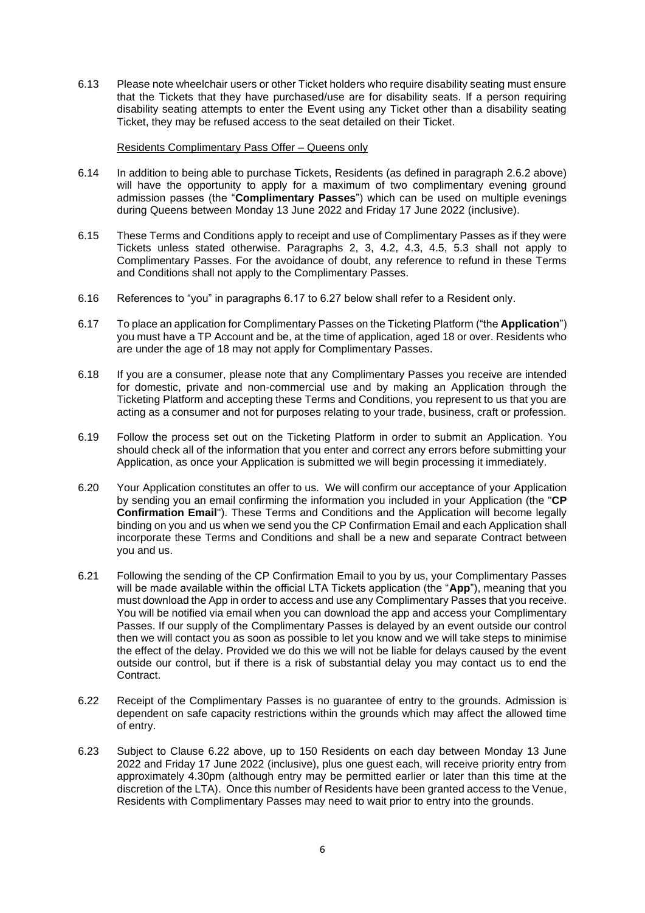6.13 Please note wheelchair users or other Ticket holders who require disability seating must ensure that the Tickets that they have purchased/use are for disability seats. If a person requiring disability seating attempts to enter the Event using any Ticket other than a disability seating Ticket, they may be refused access to the seat detailed on their Ticket.

#### Residents Complimentary Pass Offer – Queens only

- 6.14 In addition to being able to purchase Tickets, Residents (as defined in paragraph 2.6.2 above) will have the opportunity to apply for a maximum of two complimentary evening ground admission passes (the "**Complimentary Passes**") which can be used on multiple evenings during Queens between Monday 13 June 2022 and Friday 17 June 2022 (inclusive).
- 6.15 These Terms and Conditions apply to receipt and use of Complimentary Passes as if they were Tickets unless stated otherwise. Paragraphs 2, 3, 4.2, 4.3, 4.5, 5.3 shall not apply to Complimentary Passes. For the avoidance of doubt, any reference to refund in these Terms and Conditions shall not apply to the Complimentary Passes.
- 6.16 References to "you" in paragraphs 6.17 to 6.27 below shall refer to a Resident only.
- 6.17 To place an application for Complimentary Passes on the Ticketing Platform ("the **Application**") you must have a TP Account and be, at the time of application, aged 18 or over. Residents who are under the age of 18 may not apply for Complimentary Passes.
- 6.18 If you are a consumer, please note that any Complimentary Passes you receive are intended for domestic, private and non-commercial use and by making an Application through the Ticketing Platform and accepting these Terms and Conditions, you represent to us that you are acting as a consumer and not for purposes relating to your trade, business, craft or profession.
- 6.19 Follow the process set out on the Ticketing Platform in order to submit an Application. You should check all of the information that you enter and correct any errors before submitting your Application, as once your Application is submitted we will begin processing it immediately.
- 6.20 Your Application constitutes an offer to us. We will confirm our acceptance of your Application by sending you an email confirming the information you included in your Application (the "**CP Confirmation Email**"). These Terms and Conditions and the Application will become legally binding on you and us when we send you the CP Confirmation Email and each Application shall incorporate these Terms and Conditions and shall be a new and separate Contract between you and us.
- 6.21 Following the sending of the CP Confirmation Email to you by us, your Complimentary Passes will be made available within the official LTA Tickets application (the "**App**"), meaning that you must download the App in order to access and use any Complimentary Passes that you receive. You will be notified via email when you can download the app and access your Complimentary Passes. If our supply of the Complimentary Passes is delayed by an event outside our control then we will contact you as soon as possible to let you know and we will take steps to minimise the effect of the delay. Provided we do this we will not be liable for delays caused by the event outside our control, but if there is a risk of substantial delay you may contact us to end the Contract.
- <span id="page-5-0"></span>6.22 Receipt of the Complimentary Passes is no guarantee of entry to the grounds. Admission is dependent on safe capacity restrictions within the grounds which may affect the allowed time of entry.
- 6.23 Subject to Clause [6.22](#page-5-0) above, up to 150 Residents on each day between Monday 13 June 2022 and Friday 17 June 2022 (inclusive), plus one guest each, will receive priority entry from approximately 4.30pm (although entry may be permitted earlier or later than this time at the discretion of the LTA). Once this number of Residents have been granted access to the Venue, Residents with Complimentary Passes may need to wait prior to entry into the grounds.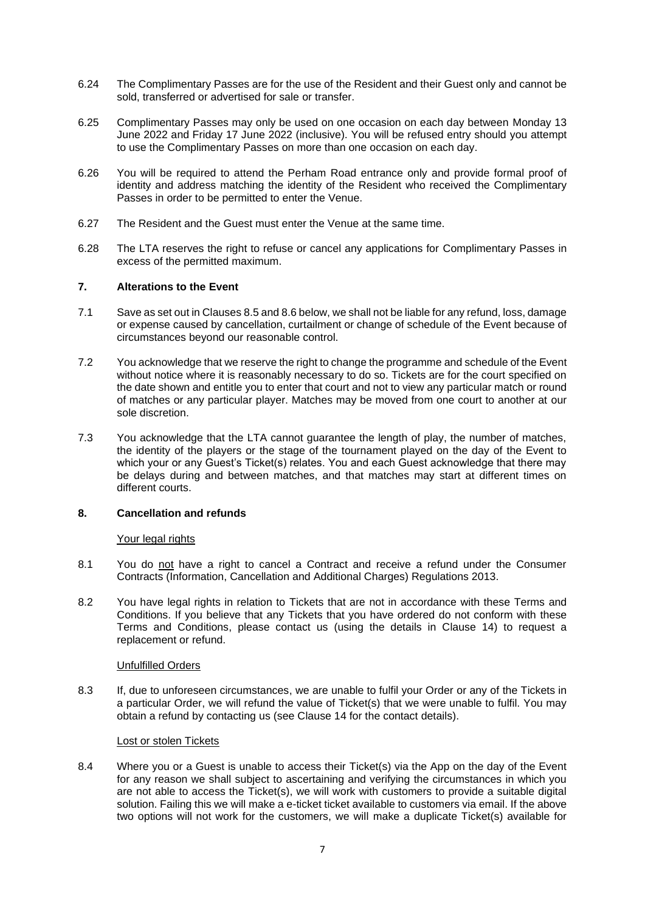- 6.24 The Complimentary Passes are for the use of the Resident and their Guest only and cannot be sold, transferred or advertised for sale or transfer.
- 6.25 Complimentary Passes may only be used on one occasion on each day between Monday 13 June 2022 and Friday 17 June 2022 (inclusive). You will be refused entry should you attempt to use the Complimentary Passes on more than one occasion on each day.
- 6.26 You will be required to attend the Perham Road entrance only and provide formal proof of identity and address matching the identity of the Resident who received the Complimentary Passes in order to be permitted to enter the Venue.
- 6.27 The Resident and the Guest must enter the Venue at the same time.
- 6.28 The LTA reserves the right to refuse or cancel any applications for Complimentary Passes in excess of the permitted maximum.

## **7. Alterations to the Event**

- 7.1 Save as set out in Clauses [8.5](#page-7-0) and [8.6](#page-7-1) below, we shall not be liable for any refund, loss, damage or expense caused by cancellation, curtailment or change of schedule of the Event because of circumstances beyond our reasonable control.
- 7.2 You acknowledge that we reserve the right to change the programme and schedule of the Event without notice where it is reasonably necessary to do so. Tickets are for the court specified on the date shown and entitle you to enter that court and not to view any particular match or round of matches or any particular player. Matches may be moved from one court to another at our sole discretion.
- 7.3 You acknowledge that the LTA cannot guarantee the length of play, the number of matches, the identity of the players or the stage of the tournament played on the day of the Event to which your or any Guest's Ticket(s) relates. You and each Guest acknowledge that there may be delays during and between matches, and that matches may start at different times on different courts.

### <span id="page-6-0"></span>**8. Cancellation and refunds**

### Your legal rights

- 8.1 You do not have a right to cancel a Contract and receive a refund under the Consumer Contracts (Information, Cancellation and Additional Charges) Regulations 2013.
- 8.2 You have legal rights in relation to Tickets that are not in accordance with these Terms and Conditions. If you believe that any Tickets that you have ordered do not conform with these Terms and Conditions, please contact us (using the details in Clause [14\)](#page-10-0) to request a replacement or refund.

### Unfulfilled Orders

8.3 If, due to unforeseen circumstances, we are unable to fulfil your Order or any of the Tickets in a particular Order, we will refund the value of Ticket(s) that we were unable to fulfil. You may obtain a refund by contacting us (see Clause [14](#page-10-0) for the contact details).

### Lost or stolen Tickets

8.4 Where you or a Guest is unable to access their Ticket(s) via the App on the day of the Event for any reason we shall subject to ascertaining and verifying the circumstances in which you are not able to access the Ticket(s), we will work with customers to provide a suitable digital solution. Failing this we will make a e-ticket ticket available to customers via email. If the above two options will not work for the customers, we will make a duplicate Ticket(s) available for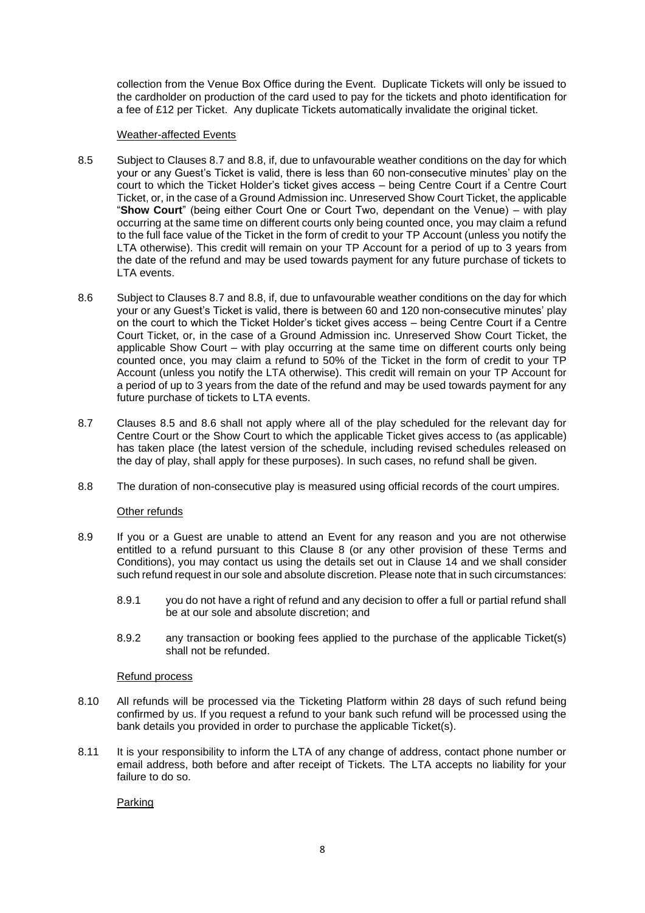collection from the Venue Box Office during the Event. Duplicate Tickets will only be issued to the cardholder on production of the card used to pay for the tickets and photo identification for a fee of £12 per Ticket. Any duplicate Tickets automatically invalidate the original ticket.

### Weather-affected Events

- <span id="page-7-0"></span>8.5 Subject to Clauses [8.7](#page-7-2) and [8.8,](#page-7-3) if, due to unfavourable weather conditions on the day for which your or any Guest's Ticket is valid, there is less than 60 non-consecutive minutes' play on the court to which the Ticket Holder's ticket gives access – being Centre Court if a Centre Court Ticket, or, in the case of a Ground Admission inc. Unreserved Show Court Ticket, the applicable "**Show Court**" (being either Court One or Court Two, dependant on the Venue) – with play occurring at the same time on different courts only being counted once, you may claim a refund to the full face value of the Ticket in the form of credit to your TP Account (unless you notify the LTA otherwise). This credit will remain on your TP Account for a period of up to 3 years from the date of the refund and may be used towards payment for any future purchase of tickets to LTA events.
- <span id="page-7-1"></span>8.6 Subject to Clauses [8.7](#page-7-2) and [8.8,](#page-7-3) if, due to unfavourable weather conditions on the day for which your or any Guest's Ticket is valid, there is between 60 and 120 non-consecutive minutes' play on the court to which the Ticket Holder's ticket gives access – being Centre Court if a Centre Court Ticket, or, in the case of a Ground Admission inc. Unreserved Show Court Ticket, the applicable Show Court – with play occurring at the same time on different courts only being counted once, you may claim a refund to 50% of the Ticket in the form of credit to your TP Account (unless you notify the LTA otherwise). This credit will remain on your TP Account for a period of up to 3 years from the date of the refund and may be used towards payment for any future purchase of tickets to LTA events.
- <span id="page-7-2"></span>8.7 Clauses [8.5](#page-7-0) and [8.6](#page-7-1) shall not apply where all of the play scheduled for the relevant day for Centre Court or the Show Court to which the applicable Ticket gives access to (as applicable) has taken place (the latest version of the schedule, including revised schedules released on the day of play, shall apply for these purposes). In such cases, no refund shall be given.
- <span id="page-7-3"></span>8.8 The duration of non-consecutive play is measured using official records of the court umpires.

## Other refunds

- 8.9 If you or a Guest are unable to attend an Event for any reason and you are not otherwise entitled to a refund pursuant to this Clause [8](#page-6-0) (or any other provision of these Terms and Conditions), you may contact us using the details set out in Clause [14](#page-10-0) and we shall consider such refund request in our sole and absolute discretion. Please note that in such circumstances:
	- 8.9.1 you do not have a right of refund and any decision to offer a full or partial refund shall be at our sole and absolute discretion; and
	- 8.9.2 any transaction or booking fees applied to the purchase of the applicable Ticket(s) shall not be refunded.

### Refund process

- 8.10 All refunds will be processed via the Ticketing Platform within 28 days of such refund being confirmed by us. If you request a refund to your bank such refund will be processed using the bank details you provided in order to purchase the applicable Ticket(s).
- 8.11 It is your responsibility to inform the LTA of any change of address, contact phone number or email address, both before and after receipt of Tickets. The LTA accepts no liability for your failure to do so.

Parking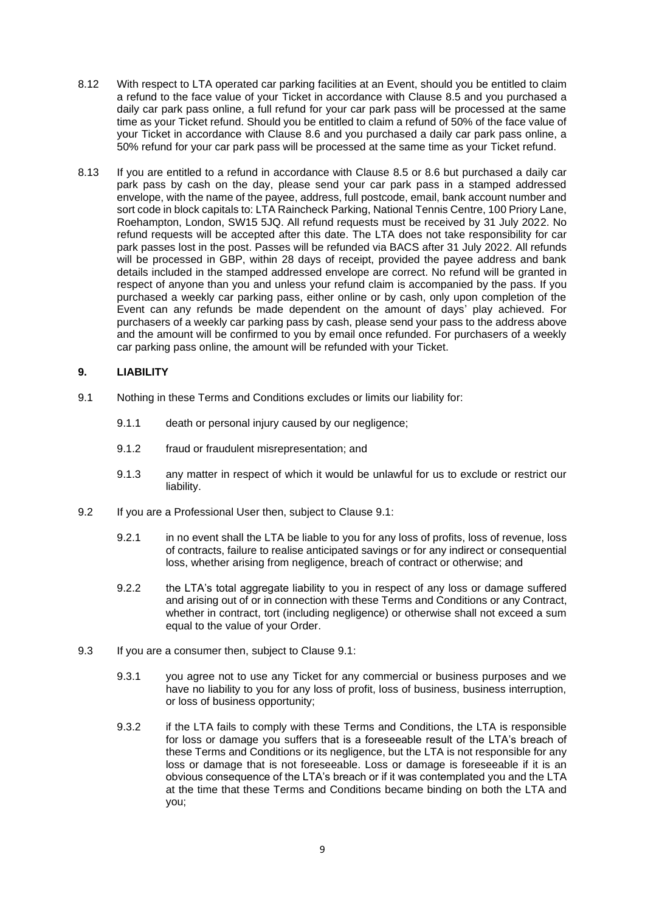- 8.12 With respect to LTA operated car parking facilities at an Event, should you be entitled to claim a refund to the face value of your Ticket in accordance with Clause [8.5](#page-7-0) and you purchased a daily car park pass online, a full refund for your car park pass will be processed at the same time as your Ticket refund. Should you be entitled to claim a refund of 50% of the face value of your Ticket in accordance with Clause [8.6](#page-7-1) and you purchased a daily car park pass online, a 50% refund for your car park pass will be processed at the same time as your Ticket refund.
- 8.13 If you are entitled to a refund in accordance with Clause [8.5](#page-7-0) or [8.6](#page-7-1) but purchased a daily car park pass by cash on the day, please send your car park pass in a stamped addressed envelope, with the name of the payee, address, full postcode, email, bank account number and sort code in block capitals to: LTA Raincheck Parking, National Tennis Centre, 100 Priory Lane, Roehampton, London, SW15 5JQ. All refund requests must be received by 31 July 2022. No refund requests will be accepted after this date. The LTA does not take responsibility for car park passes lost in the post. Passes will be refunded via BACS after 31 July 2022. All refunds will be processed in GBP, within 28 days of receipt, provided the payee address and bank details included in the stamped addressed envelope are correct. No refund will be granted in respect of anyone than you and unless your refund claim is accompanied by the pass. If you purchased a weekly car parking pass, either online or by cash, only upon completion of the Event can any refunds be made dependent on the amount of days' play achieved. For purchasers of a weekly car parking pass by cash, please send your pass to the address above and the amount will be confirmed to you by email once refunded. For purchasers of a weekly car parking pass online, the amount will be refunded with your Ticket.

# **9. LIABILITY**

- <span id="page-8-0"></span>9.1 Nothing in these Terms and Conditions excludes or limits our liability for:
	- 9.1.1 death or personal injury caused by our negligence;
	- 9.1.2 fraud or fraudulent misrepresentation; and
	- 9.1.3 any matter in respect of which it would be unlawful for us to exclude or restrict our liability.
- 9.2 If you are a Professional User then, subject to Clause [9.1:](#page-8-0)
	- 9.2.1 in no event shall the LTA be liable to you for any loss of profits, loss of revenue, loss of contracts, failure to realise anticipated savings or for any indirect or consequential loss, whether arising from negligence, breach of contract or otherwise; and
	- 9.2.2 the LTA's total aggregate liability to you in respect of any loss or damage suffered and arising out of or in connection with these Terms and Conditions or any Contract, whether in contract, tort (including negligence) or otherwise shall not exceed a sum equal to the value of your Order.
- 9.3 If you are a consumer then, subject to Clause [9.1:](#page-8-0)
	- 9.3.1 you agree not to use any Ticket for any commercial or business purposes and we have no liability to you for any loss of profit, loss of business, business interruption, or loss of business opportunity;
	- 9.3.2 if the LTA fails to comply with these Terms and Conditions, the LTA is responsible for loss or damage you suffers that is a foreseeable result of the LTA's breach of these Terms and Conditions or its negligence, but the LTA is not responsible for any loss or damage that is not foreseeable. Loss or damage is foreseeable if it is an obvious consequence of the LTA's breach or if it was contemplated you and the LTA at the time that these Terms and Conditions became binding on both the LTA and you;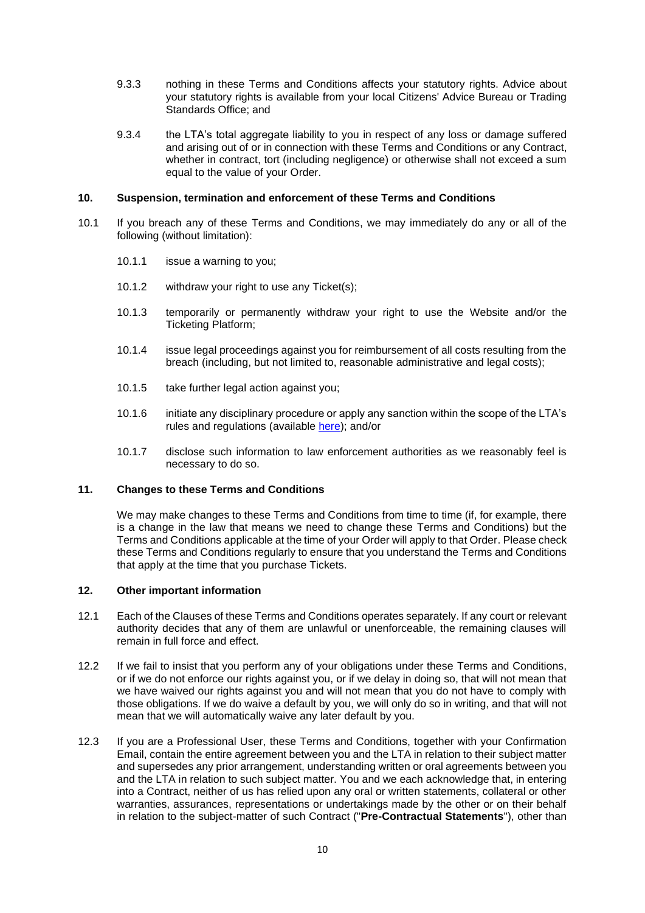- 9.3.3 nothing in these Terms and Conditions affects your statutory rights. Advice about your statutory rights is available from your local Citizens' Advice Bureau or Trading Standards Office; and
- 9.3.4 the LTA's total aggregate liability to you in respect of any loss or damage suffered and arising out of or in connection with these Terms and Conditions or any Contract, whether in contract, tort (including negligence) or otherwise shall not exceed a sum equal to the value of your Order.

### **10. Suspension, termination and enforcement of these Terms and Conditions**

- 10.1 If you breach any of these Terms and Conditions, we may immediately do any or all of the following (without limitation):
	- 10.1.1 issue a warning to you;
	- 10.1.2 withdraw your right to use any Ticket(s);
	- 10.1.3 temporarily or permanently withdraw your right to use the Website and/or the Ticketing Platform;
	- 10.1.4 issue legal proceedings against you for reimbursement of all costs resulting from the breach (including, but not limited to, reasonable administrative and legal costs);
	- 10.1.5 take further legal action against you;
	- 10.1.6 initiate any disciplinary procedure or apply any sanction within the scope of the LTA's rules and regulations (available [here\)](https://www.lta.org.uk/about-us/what-we-do/governance-and-structure/rules-regulations/); and/or
	- 10.1.7 disclose such information to law enforcement authorities as we reasonably feel is necessary to do so.

### **11. Changes to these Terms and Conditions**

We may make changes to these Terms and Conditions from time to time (if, for example, there is a change in the law that means we need to change these Terms and Conditions) but the Terms and Conditions applicable at the time of your Order will apply to that Order. Please check these Terms and Conditions regularly to ensure that you understand the Terms and Conditions that apply at the time that you purchase Tickets.

### **12. Other important information**

- 12.1 Each of the Clauses of these Terms and Conditions operates separately. If any court or relevant authority decides that any of them are unlawful or unenforceable, the remaining clauses will remain in full force and effect.
- 12.2 If we fail to insist that you perform any of your obligations under these Terms and Conditions, or if we do not enforce our rights against you, or if we delay in doing so, that will not mean that we have waived our rights against you and will not mean that you do not have to comply with those obligations. If we do waive a default by you, we will only do so in writing, and that will not mean that we will automatically waive any later default by you.
- 12.3 If you are a Professional User, these Terms and Conditions, together with your Confirmation Email, contain the entire agreement between you and the LTA in relation to their subject matter and supersedes any prior arrangement, understanding written or oral agreements between you and the LTA in relation to such subject matter. You and we each acknowledge that, in entering into a Contract, neither of us has relied upon any oral or written statements, collateral or other warranties, assurances, representations or undertakings made by the other or on their behalf in relation to the subject-matter of such Contract ("**Pre-Contractual Statements**"), other than